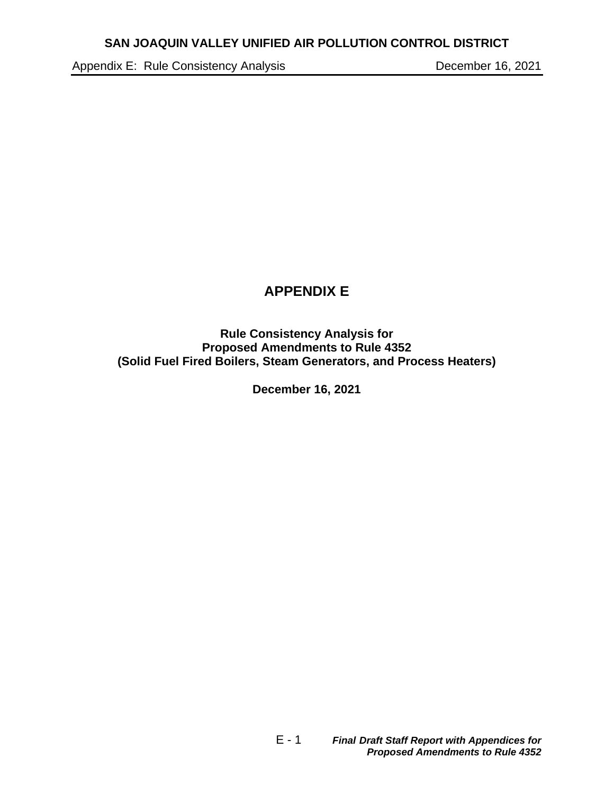Appendix E: Rule Consistency Analysis **December 16, 2021** 

# **APPENDIX E**

**Rule Consistency Analysis for Proposed Amendments to Rule 4352 (Solid Fuel Fired Boilers, Steam Generators, and Process Heaters)**

**December 16, 2021**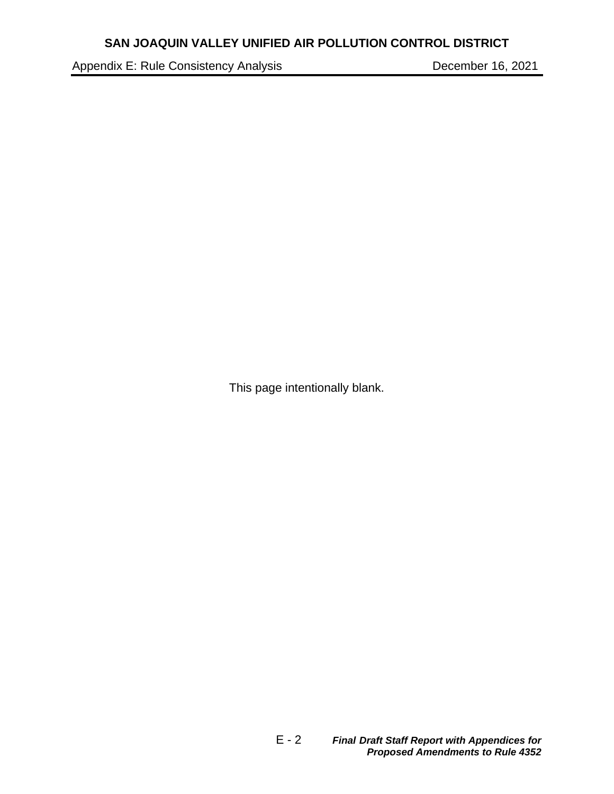# **SAN JOAQUIN VALLEY UNIFIED AIR POLLUTION CONTROL DISTRICT**

Appendix E: Rule Consistency Analysis **December 16, 2021** 

This page intentionally blank.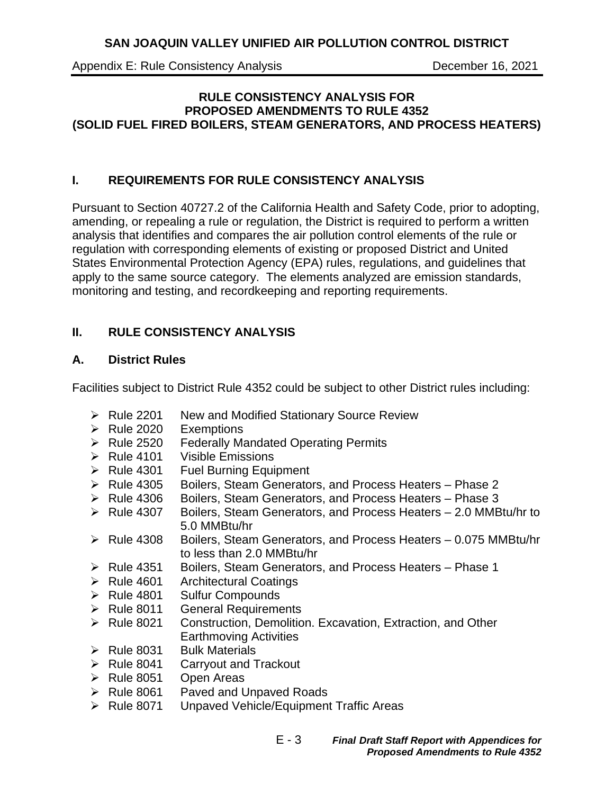## **SAN JOAQUIN VALLEY UNIFIED AIR POLLUTION CONTROL DISTRICT**

Appendix E: Rule Consistency Analysis **December 16, 2021** 

#### **RULE CONSISTENCY ANALYSIS FOR PROPOSED AMENDMENTS TO RULE 4352 (SOLID FUEL FIRED BOILERS, STEAM GENERATORS, AND PROCESS HEATERS)**

## **I. REQUIREMENTS FOR RULE CONSISTENCY ANALYSIS**

Pursuant to Section 40727.2 of the California Health and Safety Code, prior to adopting, amending, or repealing a rule or regulation, the District is required to perform a written analysis that identifies and compares the air pollution control elements of the rule or regulation with corresponding elements of existing or proposed District and United States Environmental Protection Agency (EPA) rules, regulations, and guidelines that apply to the same source category. The elements analyzed are emission standards, monitoring and testing, and recordkeeping and reporting requirements.

## **II. RULE CONSISTENCY ANALYSIS**

### **A. District Rules**

Facilities subject to District Rule 4352 could be subject to other District rules including:

- ▶ Rule 2201 New and Modified Stationary Source Review
- $\triangleright$  Rule 2020 Exemptions
- $\triangleright$  Rule 2520 Federally Mandated Operating Permits
- $\triangleright$  Rule 4101 Visible Emissions
- $\triangleright$  Rule 4301 Fuel Burning Equipment
- ▶ Rule 4305 Boilers, Steam Generators, and Process Heaters Phase 2
- ▶ Rule 4306 Boilers, Steam Generators, and Process Heaters Phase 3
- Rule 4307 Boilers, Steam Generators, and Process Heaters 2.0 MMBtu/hr to 5.0 MMBtu/hr
- Rule 4308 Boilers, Steam Generators, and Process Heaters 0.075 MMBtu/hr to less than 2.0 MMBtu/hr
- ▶ Rule 4351 Boilers, Steam Generators, and Process Heaters Phase 1
- $\triangleright$  Rule 4601 Architectural Coatings
- $\triangleright$  Rule 4801 Sulfur Compounds
- $\triangleright$  Rule 8011 General Requirements
- ▶ Rule 8021 Construction, Demolition. Excavation, Extraction, and Other Earthmoving Activities
- $\triangleright$  Rule 8031 Bulk Materials
- $\triangleright$  Rule 8041 Carryout and Trackout
- $\triangleright$  Rule 8051 Open Areas
- $\triangleright$  Rule 8061 Paved and Unpaved Roads
- ▶ Rule 8071 Unpaved Vehicle/Equipment Traffic Areas

E - 3 *Final Draft Staff Report with Appendices for Proposed Amendments to Rule 4352*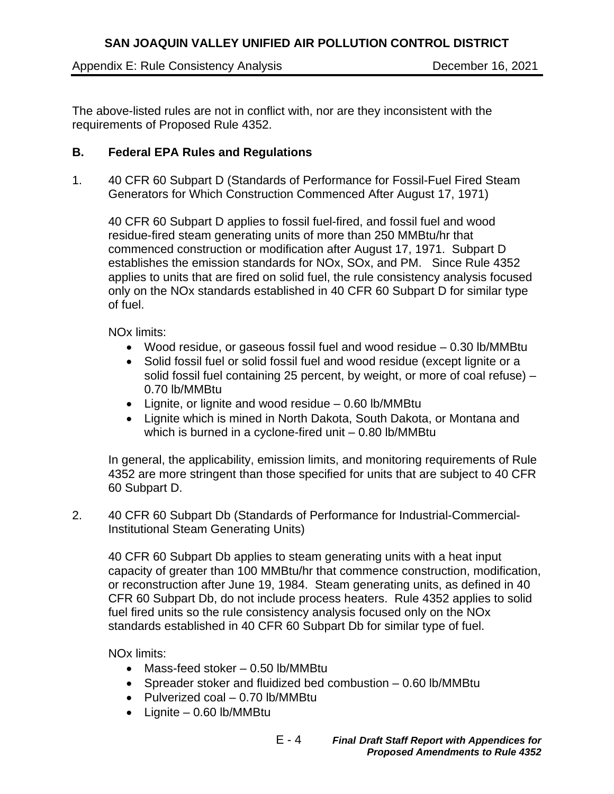Appendix E: Rule Consistency Analysis **December 16, 2021** 

The above-listed rules are not in conflict with, nor are they inconsistent with the requirements of Proposed Rule 4352.

## **B. Federal EPA Rules and Regulations**

1. 40 CFR 60 Subpart D (Standards of Performance for Fossil-Fuel Fired Steam Generators for Which Construction Commenced After August 17, 1971)

40 CFR 60 Subpart D applies to fossil fuel-fired, and fossil fuel and wood residue-fired steam generating units of more than 250 MMBtu/hr that commenced construction or modification after August 17, 1971. Subpart D establishes the emission standards for NOx, SOx, and PM. Since Rule 4352 applies to units that are fired on solid fuel, the rule consistency analysis focused only on the NOx standards established in 40 CFR 60 Subpart D for similar type of fuel.

NOx limits:

- Wood residue, or gaseous fossil fuel and wood residue 0.30 lb/MMBtu
- Solid fossil fuel or solid fossil fuel and wood residue (except lignite or a solid fossil fuel containing 25 percent, by weight, or more of coal refuse) – 0.70 lb/MMBtu
- Lignite, or lignite and wood residue 0.60 lb/MMBtu
- Lignite which is mined in North Dakota, South Dakota, or Montana and which is burned in a cyclone-fired unit – 0.80 lb/MMBtu

In general, the applicability, emission limits, and monitoring requirements of Rule 4352 are more stringent than those specified for units that are subject to 40 CFR 60 Subpart D.

2. 40 CFR 60 Subpart Db (Standards of Performance for Industrial-Commercial-Institutional Steam Generating Units)

40 CFR 60 Subpart Db applies to steam generating units with a heat input capacity of greater than 100 MMBtu/hr that commence construction, modification, or reconstruction after June 19, 1984. Steam generating units, as defined in 40 CFR 60 Subpart Db, do not include process heaters. Rule 4352 applies to solid fuel fired units so the rule consistency analysis focused only on the NOx standards established in 40 CFR 60 Subpart Db for similar type of fuel.

NOx limits:

- Mass-feed stoker 0.50 lb/MMBtu
- Spreader stoker and fluidized bed combustion 0.60 lb/MMBtu
- Pulverized coal 0.70 lb/MMBtu
- Lignite 0.60 lb/MMBtu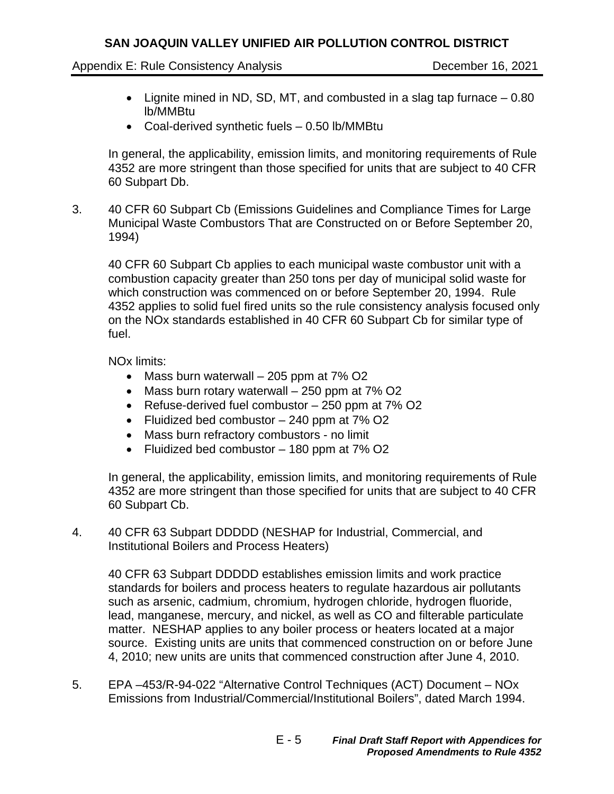## **SAN JOAQUIN VALLEY UNIFIED AIR POLLUTION CONTROL DISTRICT**

#### Appendix E: Rule Consistency Analysis **December 16, 2021**

- Lignite mined in ND, SD, MT, and combusted in a slag tap furnace 0.80 lb/MMBtu
- Coal-derived synthetic fuels 0.50 lb/MMBtu

In general, the applicability, emission limits, and monitoring requirements of Rule 4352 are more stringent than those specified for units that are subject to 40 CFR 60 Subpart Db.

3. 40 CFR 60 Subpart Cb (Emissions Guidelines and Compliance Times for Large Municipal Waste Combustors That are Constructed on or Before September 20, 1994)

40 CFR 60 Subpart Cb applies to each municipal waste combustor unit with a combustion capacity greater than 250 tons per day of municipal solid waste for which construction was commenced on or before September 20, 1994. Rule 4352 applies to solid fuel fired units so the rule consistency analysis focused only on the NOx standards established in 40 CFR 60 Subpart Cb for similar type of fuel.

NOx limits:

- Mass burn waterwall 205 ppm at 7% O2
- Mass burn rotary waterwall 250 ppm at 7% O2
- Refuse-derived fuel combustor 250 ppm at 7% O2
- Fluidized bed combustor 240 ppm at 7% O2
- Mass burn refractory combustors no limit
- Fluidized bed combustor 180 ppm at 7% O2

In general, the applicability, emission limits, and monitoring requirements of Rule 4352 are more stringent than those specified for units that are subject to 40 CFR 60 Subpart Cb.

4. 40 CFR 63 Subpart DDDDD (NESHAP for Industrial, Commercial, and Institutional Boilers and Process Heaters)

40 CFR 63 Subpart DDDDD establishes emission limits and work practice standards for boilers and process heaters to regulate hazardous air pollutants such as arsenic, cadmium, chromium, hydrogen chloride, hydrogen fluoride, lead, manganese, mercury, and nickel, as well as CO and filterable particulate matter. NESHAP applies to any boiler process or heaters located at a major source. Existing units are units that commenced construction on or before June 4, 2010; new units are units that commenced construction after June 4, 2010.

5. EPA –453/R-94-022 "Alternative Control Techniques (ACT) Document – NOx Emissions from Industrial/Commercial/Institutional Boilers", dated March 1994.